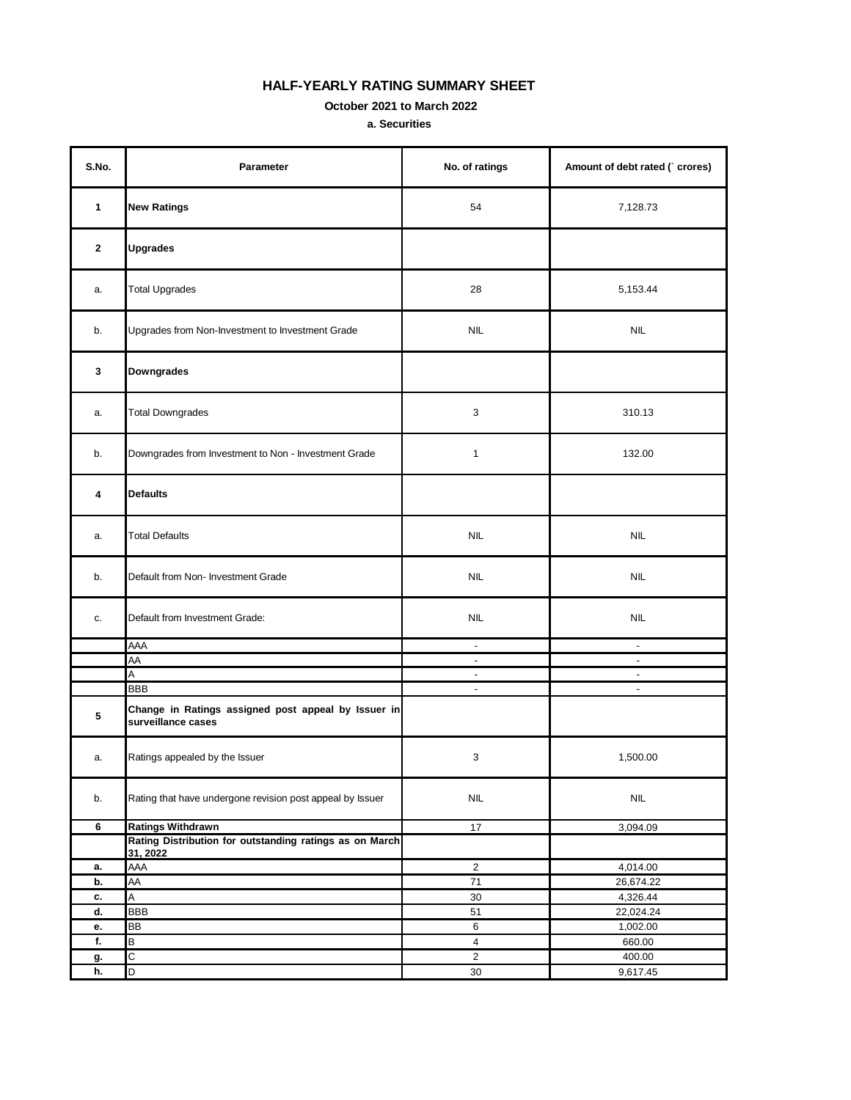## **HALF-YEARLY RATING SUMMARY SHEET**

 **October 2021 to March 2022**

**a. Securities**

| S.No.        | Parameter                                                                 | No. of ratings                            | Amount of debt rated (`crores) |
|--------------|---------------------------------------------------------------------------|-------------------------------------------|--------------------------------|
| 1            | <b>New Ratings</b>                                                        | 54                                        | 7,128.73                       |
| $\mathbf{2}$ | <b>Upgrades</b>                                                           |                                           |                                |
| a.           | <b>Total Upgrades</b>                                                     | 28                                        | 5,153.44                       |
| b.           | Upgrades from Non-Investment to Investment Grade                          | <b>NIL</b>                                | <b>NIL</b>                     |
| 3            | Downgrades                                                                |                                           |                                |
| a.           | <b>Total Downgrades</b>                                                   | $\mathsf 3$                               | 310.13                         |
| b.           | Downgrades from Investment to Non - Investment Grade                      | $\mathbf{1}$                              | 132.00                         |
| 4            | <b>Defaults</b>                                                           |                                           |                                |
| a.           | <b>Total Defaults</b>                                                     | <b>NIL</b>                                | <b>NIL</b>                     |
| b.           | Default from Non- Investment Grade                                        | <b>NIL</b>                                | <b>NIL</b>                     |
| c.           | Default from Investment Grade:                                            | <b>NIL</b>                                | <b>NIL</b>                     |
|              | AAA                                                                       | $\blacksquare$                            | $\blacksquare$                 |
|              | AA                                                                        | $\sim$                                    | $\overline{\phantom{a}}$       |
|              | Α                                                                         | $\overline{\phantom{a}}$                  | $\overline{\phantom{a}}$       |
|              | <b>BBB</b>                                                                | $\blacksquare$                            | $\blacksquare$                 |
| 5            | Change in Ratings assigned post appeal by Issuer in<br>surveillance cases |                                           |                                |
| a.           | Ratings appealed by the Issuer                                            | $\mathsf 3$                               | 1,500.00                       |
| b.           | Rating that have undergone revision post appeal by Issuer                 | $\ensuremath{\mathsf{NIL}}$               | <b>NIL</b>                     |
| 6            | <b>Ratings Withdrawn</b>                                                  | 17                                        | 3,094.09                       |
|              | Rating Distribution for outstanding ratings as on March                   |                                           |                                |
|              | 31, 2022                                                                  |                                           |                                |
| а.           | AAA                                                                       | $\sqrt{2}$                                | 4,014.00                       |
| b.           | AA                                                                        | $\bf 71$                                  | 26,674.22                      |
| c.           | A                                                                         | $30\,$                                    | 4,326.44                       |
| d.           | <b>BBB</b>                                                                | 51                                        | 22,024.24                      |
| е.           | BB                                                                        | 6                                         | 1,002.00                       |
| f.           | В<br>$\overline{C}$                                                       | $\overline{\mathbf{4}}$<br>$\overline{2}$ | 660.00<br>400.00               |
| g.<br>h.     | $\overline{D}$                                                            | $30\,$                                    | 9,617.45                       |
|              |                                                                           |                                           |                                |